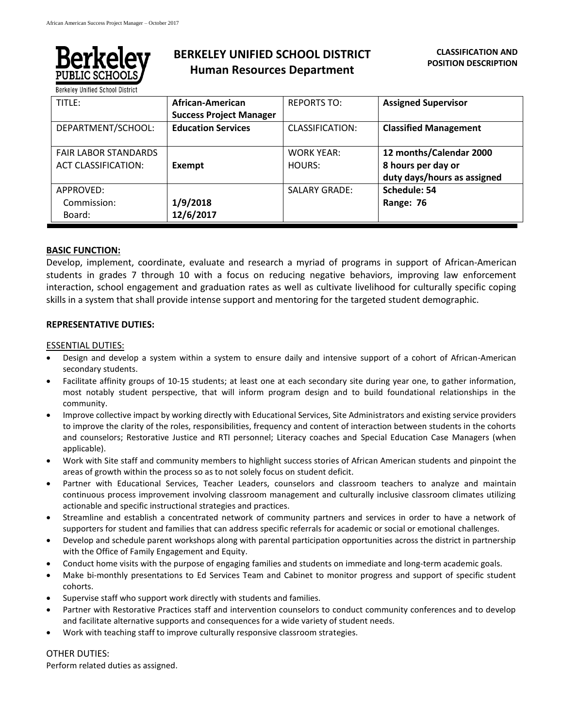

# **BERKELEY UNIFIED SCHOOL DISTRICT Human Resources Department**

**Berkeley Unified School District** 

| TITLE:                      | African-American               | <b>REPORTS TO:</b>     | <b>Assigned Supervisor</b>   |
|-----------------------------|--------------------------------|------------------------|------------------------------|
|                             | <b>Success Project Manager</b> |                        |                              |
| DEPARTMENT/SCHOOL:          | <b>Education Services</b>      | <b>CLASSIFICATION:</b> | <b>Classified Management</b> |
|                             |                                |                        |                              |
| <b>FAIR LABOR STANDARDS</b> |                                | <b>WORK YEAR:</b>      | 12 months/Calendar 2000      |
| <b>ACT CLASSIFICATION:</b>  | Exempt                         | HOURS:                 | 8 hours per day or           |
|                             |                                |                        | duty days/hours as assigned  |
| APPROVED:                   |                                | <b>SALARY GRADE:</b>   | Schedule: 54                 |
| Commission:                 | 1/9/2018                       |                        | Range: 76                    |
| Board:                      | 12/6/2017                      |                        |                              |

## **BASIC FUNCTION:**

Develop, implement, coordinate, evaluate and research a myriad of programs in support of African-American students in grades 7 through 10 with a focus on reducing negative behaviors, improving law enforcement interaction, school engagement and graduation rates as well as cultivate livelihood for culturally specific coping skills in a system that shall provide intense support and mentoring for the targeted student demographic.

## **REPRESENTATIVE DUTIES:**

## ESSENTIAL DUTIES:

- Design and develop a system within a system to ensure daily and intensive support of a cohort of African-American secondary students.
- Facilitate affinity groups of 10-15 students; at least one at each secondary site during year one, to gather information, most notably student perspective, that will inform program design and to build foundational relationships in the community.
- Improve collective impact by working directly with Educational Services, Site Administrators and existing service providers to improve the clarity of the roles, responsibilities, frequency and content of interaction between students in the cohorts and counselors; Restorative Justice and RTI personnel; Literacy coaches and Special Education Case Managers (when applicable).
- Work with Site staff and community members to highlight success stories of African American students and pinpoint the areas of growth within the process so as to not solely focus on student deficit.
- Partner with Educational Services, Teacher Leaders, counselors and classroom teachers to analyze and maintain continuous process improvement involving classroom management and culturally inclusive classroom climates utilizing actionable and specific instructional strategies and practices.
- Streamline and establish a concentrated network of community partners and services in order to have a network of supporters for student and families that can address specific referrals for academic or social or emotional challenges.
- Develop and schedule parent workshops along with parental participation opportunities across the district in partnership with the Office of Family Engagement and Equity.
- Conduct home visits with the purpose of engaging families and students on immediate and long-term academic goals.
- Make bi-monthly presentations to Ed Services Team and Cabinet to monitor progress and support of specific student cohorts.
- Supervise staff who support work directly with students and families.
- Partner with Restorative Practices staff and intervention counselors to conduct community conferences and to develop and facilitate alternative supports and consequences for a wide variety of student needs.
- Work with teaching staff to improve culturally responsive classroom strategies.

## OTHER DUTIES:

Perform related duties as assigned.